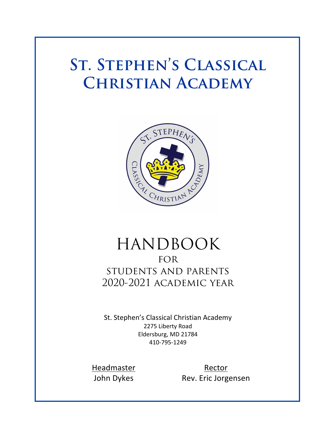# **St. Stephen's Classical Christian Academy**



## HANDBOOK **FOR** students and parents 2020-2021 academic year

St. Stephen's Classical Christian Academy 2275 Liberty Road Eldersburg, MD 21784 410-795-1249

Headmaster Rector John Dykes Rev. Eric Jorgensen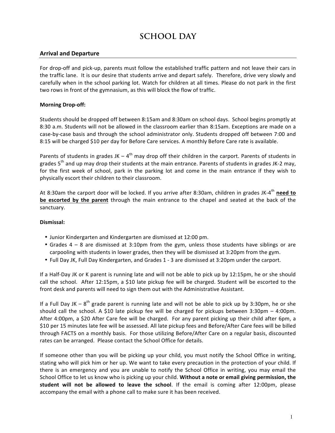### **SCHOOL DAY**

### **Arrival and Departure**

For drop-off and pick-up, parents must follow the established traffic pattern and not leave their cars in the traffic lane. It is our desire that students arrive and depart safely. Therefore, drive very slowly and carefully when in the school parking lot. Watch for children at all times. Please do not park in the first two rows in front of the gymnasium, as this will block the flow of traffic.

### **Morning Drop-off:**

Students should be dropped off between 8:15am and 8:30am on school days. School begins promptly at 8:30 a.m. Students will not be allowed in the classroom earlier than 8:15am. Exceptions are made on a case-by-case basis and through the school administrator only. Students dropped off between 7:00 and 8:15 will be charged \$10 per day for Before Care services. A monthly Before Care rate is available.

Parents of students in grades JK –  $4^{th}$  may drop off their children in the carport. Parents of students in grades  $5<sup>th</sup>$  and up may drop their students at the main entrance. Parents of students in grades JK-2 may, for the first week of school, park in the parking lot and come in the main entrance if they wish to physically escort their children to their classroom.

At 8:30am the carport door will be locked. If you arrive after 8:30am, children in grades JK-4<sup>th</sup> need to **be escorted by the parent** through the main entrance to the chapel and seated at the back of the sanctuary.

### **Dismissal:**

- Junior Kindergarten and Kindergarten are dismissed at 12:00 pm.
- Grades  $4 8$  are dismissed at 3:10pm from the gym, unless those students have siblings or are carpooling with students in lower grades, then they will be dismissed at 3:20pm from the gym.
- Full Day JK, Full Day Kindergarten, and Grades 1 3 are dismissed at 3:20pm under the carport.

If a Half-Day JK or K parent is running late and will not be able to pick up by 12:15pm, he or she should call the school. After 12:15pm, a \$10 late pickup fee will be charged. Student will be escorted to the front desk and parents will need to sign them out with the Administrative Assistant.

If a Full Day JK –  $8^{th}$  grade parent is running late and will not be able to pick up by 3:30pm, he or she should call the school. A \$10 late pickup fee will be charged for pickups between  $3:30$ pm – 4:00pm. After 4:00pm, a \$20 After Care fee will be charged. For any parent picking up their child after 6pm, a \$10 per 15 minutes late fee will be assessed. All late pickup fees and Before/After Care fees will be billed through FACTS on a monthly basis. For those utilizing Before/After Care on a regular basis, discounted rates can be arranged. Please contact the School Office for details.

If someone other than you will be picking up your child, you must notify the School Office in writing, stating who will pick him or her up. We want to take every precaution in the protection of your child. If there is an emergency and you are unable to notify the School Office in writing, you may email the School Office to let us know who is picking up your child. Without a note or email giving permission, the student will not be allowed to leave the school. If the email is coming after 12:00pm, please accompany the email with a phone call to make sure it has been received.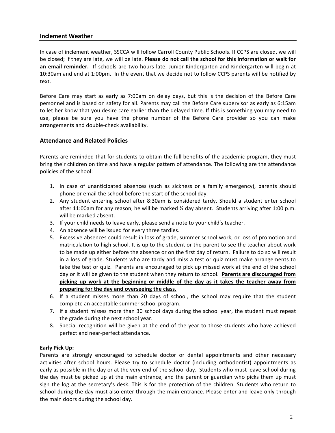### **Inclement Weather**

In case of inclement weather, SSCCA will follow Carroll County Public Schools. If CCPS are closed, we will be closed; if they are late, we will be late. **Please do not call the school for this information or wait for an email reminder.** If schools are two hours late, Junior Kindergarten and Kindergarten will begin at 10:30am and end at 1:00pm. In the event that we decide not to follow CCPS parents will be notified by text.

Before Care may start as early as 7:00am on delay days, but this is the decision of the Before Care personnel and is based on safety for all. Parents may call the Before Care supervisor as early as 6:15am to let her know that you desire care earlier than the delayed time. If this is something you may need to use, please be sure you have the phone number of the Before Care provider so you can make arrangements and double-check availability.

### **Attendance and Related Policies**

Parents are reminded that for students to obtain the full benefits of the academic program, they must bring their children on time and have a regular pattern of attendance. The following are the attendance policies of the school:

- 1. In case of unanticipated absences (such as sickness or a family emergency), parents should phone or email the school before the start of the school day.
- 2. Any student entering school after 8:30am is considered tardy. Should a student enter school after 11:00am for any reason, he will be marked 1/2 day absent. Students arriving after 1:00 p.m. will be marked absent.
- 3. If your child needs to leave early, please send a note to your child's teacher.
- 4. An absence will be issued for every three tardies.
- 5. Excessive absences could result in loss of grade, summer school work, or loss of promotion and matriculation to high school. It is up to the student or the parent to see the teacher about work to be made up either before the absence or on the first day of return. Failure to do so will result in a loss of grade. Students who are tardy and miss a test or quiz must make arrangements to take the test or quiz. Parents are encouraged to pick up missed work at the end of the school day or it will be given to the student when they return to school. Parents are discouraged from picking up work at the beginning or middle of the day as it takes the teacher away from preparing for the day and overseeing the class.
- 6. If a student misses more than 20 days of school, the school may require that the student complete an acceptable summer school program.
- 7. If a student misses more than 30 school days during the school year, the student must repeat the grade during the next school year.
- 8. Special recognition will be given at the end of the year to those students who have achieved perfect and near-perfect attendance.

### **Early Pick Up:**

Parents are strongly encouraged to schedule doctor or dental appointments and other necessary activities after school hours. Please try to schedule doctor (including orthodontist) appointments as early as possible in the day or at the very end of the school day. Students who must leave school during the day must be picked up at the main entrance, and the parent or guardian who picks them up must sign the log at the secretary's desk. This is for the protection of the children. Students who return to school during the day must also enter through the main entrance. Please enter and leave only through the main doors during the school day.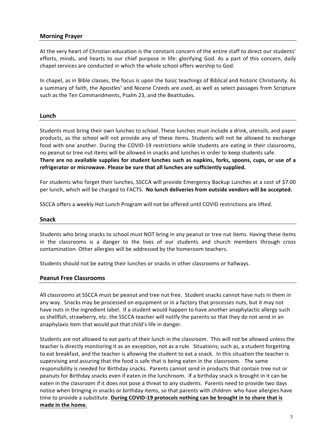### **Morning Prayer**

At the very heart of Christian education is the constant concern of the entire staff to direct our students' efforts, minds, and hearts to our chief purpose in life: glorifying God. As a part of this concern, daily chapel services are conducted in which the whole school offers worship to God.

In chapel, as in Bible classes, the focus is upon the basic teachings of Biblical and historic Christianity. As a summary of faith, the Apostles' and Nicene Creeds are used, as well as select passages from Scripture such as the Ten Commandments, Psalm 23, and the Beatitudes.

#### **Lunch**

Students must bring their own lunches to school. These lunches must include a drink, utensils, and paper products, as the school will not provide any of these items. Students will not be allowed to exchange food with one another. During the COVID-19 restrictions while students are eating in their classrooms, no peanut or tree nut items will be allowed in snacks and lunches in order to keep students safe. There are no available supplies for student lunches such as napkins, forks, spoons, cups, or use of a refrigerator or microwave. Please be sure that all lunches are sufficiently supplied.

For students who forget their lunches, SSCCA will provide Emergency Backup Lunches at a cost of \$7.00 per lunch, which will be charged to FACTS. No lunch deliveries from outside vendors will be accepted.

SSCCA offers a weekly Hot Lunch Program will not be offered until COVID restrictions are lifted.

#### **Snack**

Students who bring snacks to school must NOT bring in any peanut or tree nut items. Having these items in the classrooms is a danger to the lives of our students and church members through cross contamination. Other allergies will be addressed by the homeroom teachers.

Students should not be eating their lunches or snacks in other classrooms or hallways.

#### **Peanut Free Classrooms**

All classrooms at SSCCA must be peanut and tree nut free. Student snacks cannot have nuts in them in any way. Snacks may be processed on equipment or in a factory that processes nuts, but it may not have nuts in the ingredient label. If a student would happen to have another anaphylactic allergy such as shellfish, strawberry, etc. the SSCCA teacher will notify the parents so that they do not send in an anaphylaxis item that would put that child's life in danger.

Students are not allowed to eat parts of their lunch in the classroom. This will not be allowed unless the teacher is directly monitoring it as an exception, not as a rule. Situations; such as, a student forgetting to eat breakfast, and the teacher is allowing the student to eat a snack. In this situation the teacher is supervising and assuring that the food is safe that is being eaten in the classroom. The same responsibility is needed for Birthday snacks. Parents cannot send in products that contain tree nut or peanuts for Birthday snacks even if eaten in the lunchroom. If a birthday snack is brought in it can be eaten in the classroom if it does not pose a threat to any students. Parents need to provide two days notice when bringing in snacks or birthday items, so that parents with children who have allergies have time to provide a substitute. During COVID-19 protocols nothing can be brought in to share that is made in the home.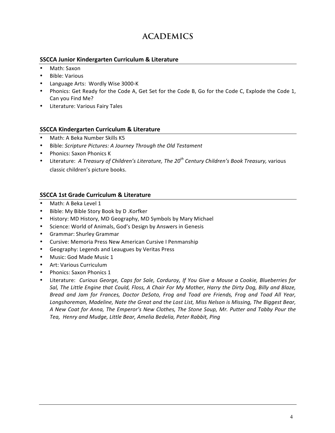### **ACADEMICS**

### **SSCCA Junior Kindergarten Curriculum & Literature**

- Math: Saxon
- Bible: Various
- Language Arts: Wordly Wise 3000-K
- Phonics: Get Ready for the Code A, Get Set for the Code B, Go for the Code C, Explode the Code 1, Can you Find Me?
- Literature: Various Fairy Tales

### **SSCCA Kindergarten Curriculum & Literature**

- Math: A Beka Number Skills K5
- Bible: *Scripture Pictures: A Journey Through the Old Testament*
- Phonics: Saxon Phonics K
- Literature: A Treasury of Children's Literature, The 20<sup>th</sup> Century Children's Book Treasury, various classic children's picture books.

### **SSCCA 1st Grade Curriculum & Literature**

- Math: A Beka Level 1
- Bible: My Bible Story Book by D.Korfker
- History: MD History, MD Geography, MD Symbols by Mary Michael
- Science: World of Animals, God's Design by Answers in Genesis
- Grammar: Shurley Grammar
- Cursive: Memoria Press New American Cursive I Penmanship
- Geography: Legends and Leaugues by Veritas Press
- Music: God Made Music 1
- Art: Various Curriculum
- Phonics: Saxon Phonics 1
- Literature: Curious George, Caps for Sale, Corduroy, If You Give a Mouse a Cookie, Blueberries for Sal, The Little Engine that Could, Floss, A Chair For My Mother, Harry the Dirty Dog, Billy and Blaze, *Bread and Jam for Frances, Doctor DeSoto, Frog and Toad are Friends, Frog and Toad All Year,*  Longshoreman, Madeline, Nate the Great and the Lost List, Miss Nelson is Missing, The Biggest Bear, *A New Coat for Anna, The Emperor's New Clothes, The Stone Soup, Mr. Putter and Tabby Pour the*  Tea, Henry and Mudge, Little Bear, Amelia Bedelia, Peter Rabbit, Ping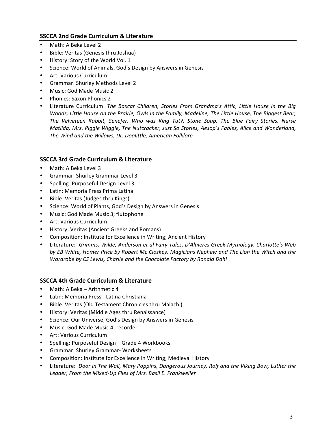### **SSCCA 2nd Grade Curriculum & Literature**

- Math: A Beka Level 2
- Bible: Veritas (Genesis thru Joshua)
- History: Story of the World Vol. 1
- Science: World of Animals, God's Design by Answers in Genesis
- Art: Various Curriculum
- Grammar: Shurley Methods Level 2
- Music: God Made Music 2
- Phonics: Saxon Phonics 2
- Literature Curriculum: The Boxcar Children, Stories From Grandma's Attic, Little House in the Big *Woods, Little House on the Prairie, Owls in the Family, Madeline, The Little House, The Biggest Bear,* The Velveteen Rabbit, Senefer, Who was King Tut?, Stone Soup, The Blue Fairy Stories, Nurse *Matilda, Mrs. Piggle Wiggle, The Nutcracker, Just So Stories, Aesop's Fables, Alice and Wonderland,* The Wind and the Willows, Dr. Doolittle, American Folklore

### **SSCCA 3rd Grade Curriculum & Literature**

- Math: A Beka Level 3
- Grammar: Shurley Grammar Level 3
- Spelling: Purposeful Design Level 3
- Latin: Memoria Press Prima Latina
- Bible: Veritas (Judges thru Kings)
- Science: World of Plants, God's Design by Answers in Genesis
- Music: God Made Music 3; flutophone
- Art: Various Curriculum
- History: Veritas (Ancient Greeks and Romans)
- Composition: Institute for Excellence in Writing; Ancient History
- Literature: Grimms, Wilde, Anderson et al Fairy Tales, D'Aluieres Greek Mythology, Charlotte's Web by EB White, Homer Price by Robert Mc Closkey, Magicians Nephew and The Lion the Witch and the *Wardrobe by CS Lewis, Charlie and the Chocolate Factory by Ronald Dahl*

### **SSCCA 4th Grade Curriculum & Literature**

- Math: A Beka Arithmetic 4
- Latin: Memoria Press Latina Christiana
- Bible: Veritas (Old Testament Chronicles thru Malachi)
- History: Veritas (Middle Ages thru Renaissance)
- Science: Our Universe, God's Design by Answers in Genesis
- Music: God Made Music 4; recorder
- Art: Various Curriculum
- Spelling: Purposeful Design Grade 4 Workbooks
- Grammar: Shurley Grammar- Worksheets
- Composition: Institute for Excellence in Writing; Medieval History
- Literature: *Door in The Wall, Mary Poppins, Dangerous Journey, Rolf and the Viking Bow, Luther the* Leader, From the Mixed-Up Files of Mrs. Basil E. Frankweiler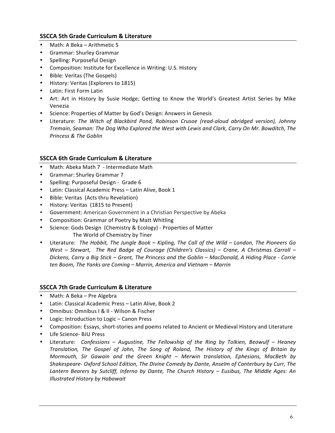### **SSCCA 5th Grade Curriculum & Literature**

- Math: A Beka Arithmetic 5
- Grammar: Shurley Grammar
- Spelling: Purposeful Design
- Composition: Institute for Excellence in Writing: U.S. History
- Bible: Veritas (The Gospels)
- History: Veritas (Explorers to 1815)
- Latin: First Form Latin
- Art: Art in History by Susie Hodge; Getting to Know the World's Greatest Artist Series by Mike Venezia
- Science: Properties of Matter by God's Design: Answers in Genesis
- Literature: *The Witch of Blackbird Pond, Robinson Crusoe (read-aloud abridged version), Johnny Tremain, Seaman: The Dog Who Explored the West with Lewis and Clark, Carry On Mr. Bowditch, The Princess & The Goblin*

### **SSCCA 6th Grade Curriculum & Literature**

- Math: Abeka Math 7 Intermediate Math
- Grammar: Shurley Grammar 7
- Spelling: Purposeful Design Grade 6
- Latin: Classical Academic Press Latin Alive, Book 1
- Bible: Veritas (Acts thru Revelation)
- History: Veritas (1815 to Present)
- Government: American Government in a Christian Perspective by Abeka
- Composition: Grammar of Poetry by Matt Whitling
- Science: Gods Design (Chemistry & Ecology) Properties of Matter The World of Chemistry by Tiner
- Literature: The Hobbit, The Jungle Book Kipling, The Call of the Wild London, The Pioneers Go *West* – Stewart, The Red Badge of Courage (Children's Classics) – Crane, A Christmas Carroll – *Dickens, Carry a Big Stick* – *Grant, The Princess and the Goblin* – *MacDonald, A Hiding Place - Corrie ten Boom, The Yanks are Coming – Marrin, America and Vietnam – Marrin*

### **SSCCA 7th Grade Curriculum & Literature**

- Math: A Beka Pre Algebra
- Latin: Classical Academic Press Latin Alive, Book 2
- Omnibus: Omnibus I & II Wilson & Fischer
- Logic: Introduction to Logic Canon Press
- Composition: Essays, short-stories and poems related to Ancient or Medieval History and Literature
- Life Science- BJU Press
- Literature: *Confessions – Augustine, The Fellowship of the Ring by Tolkien, Beowulf – Heaney Translation, The Gospel of John, The Song of Roland, The History of the Kings of Britain by Mormouth, Sir Gawain and the Green Knight – Merwin translation, Ephesians, MacBeth by Shakespeare- Oxford School Edition, The Divine Comedy by Dante, Anselm of Canterbury by Curr, The Lantern Bearers by Sutcliff, Inferno by Dante, The Church History – Eusibus, The Middle Ages: An Illustrated History by Habawait*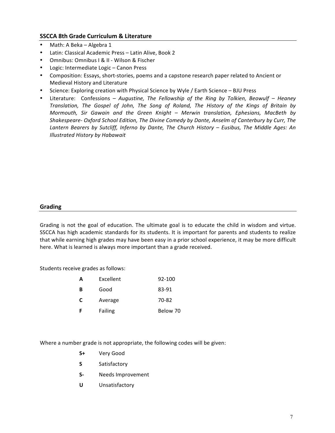### **SSCCA 8th Grade Curriculum & Literature**

- Math: A Beka Algebra 1
- Latin: Classical Academic Press Latin Alive, Book 2
- Omnibus: Omnibus I & II Wilson & Fischer
- Logic: Intermediate Logic Canon Press
- Composition: Essays, short-stories, poems and a capstone research paper related to Ancient or Medieval History and Literature
- Science: Exploring creation with Physical Science by Wyle / Earth Science BJU Press
- Literature: Confessions *Augustine, The Fellowship of the Ring by Tolkien, Beowulf Heaney Translation, The Gospel of John, The Song of Roland, The History of the Kings of Britain by Mormouth, Sir Gawain and the Green Knight - Merwin translation, Ephesians, MacBeth by Shakespeare- Oxford School Edition, The Divine Comedy by Dante, Anselm of Canterbury by Curr, The Lantern Bearers by Sutcliff, Inferno by Dante, The Church History – Eusibus, The Middle Ages: An Illustrated History by Habawait*

### **Grading**

Grading is not the goal of education. The ultimate goal is to educate the child in wisdom and virtue. SSCCA has high academic standards for its students. It is important for parents and students to realize that while earning high grades may have been easy in a prior school experience, it may be more difficult here. What is learned is always more important than a grade received.

Students receive grades as follows:

| 83-91    |
|----------|
| 70-82    |
| Below 70 |
|          |

Where a number grade is not appropriate, the following codes will be given:

- **S+** Very Good
- **S** Satisfactory
- **S-** Needs Improvement
- **U** Unsatisfactory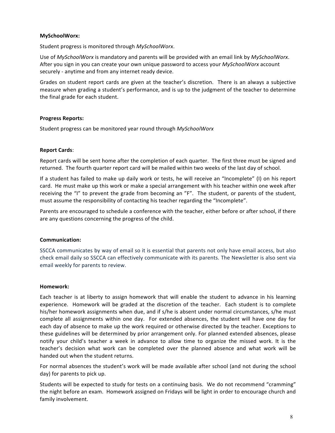### **MySchoolWorx:**

Student progress is monitored through MySchoolWorx.

Use of *MySchoolWorx* is mandatory and parents will be provided with an email link by *MySchoolWorx*. After you sign in you can create your own unique password to access your *MySchoolWorx* account securely - anytime and from any internet ready device.

Grades on student report cards are given at the teacher's discretion. There is an always a subjective measure when grading a student's performance, and is up to the judgment of the teacher to determine the final grade for each student.

#### **Progress Reports:**

Student progress can be monitored year round through MySchoolWorx

#### **Report Cards**:

Report cards will be sent home after the completion of each quarter. The first three must be signed and returned. The fourth quarter report card will be mailed within two weeks of the last day of school.

If a student has failed to make up daily work or tests, he will receive an "Incomplete" (I) on his report card. He must make up this work or make a special arrangement with his teacher within one week after receiving the "I" to prevent the grade from becoming an "F". The student, or parents of the student, must assume the responsibility of contacting his teacher regarding the "Incomplete".

Parents are encouraged to schedule a conference with the teacher, either before or after school, if there are any questions concerning the progress of the child.

#### **Communication:**

SSCCA communicates by way of email so it is essential that parents not only have email access, but also check email daily so SSCCA can effectively communicate with its parents. The Newsletter is also sent via email weekly for parents to review.

#### **Homework:**

Each teacher is at liberty to assign homework that will enable the student to advance in his learning experience. Homework will be graded at the discretion of the teacher. Each student is to complete his/her homework assignments when due, and if s/he is absent under normal circumstances, s/he must complete all assignments within one day. For extended absences, the student will have one day for each day of absence to make up the work required or otherwise directed by the teacher. Exceptions to these guidelines will be determined by prior arrangement only. For planned extended absences, please notify your child's teacher a week in advance to allow time to organize the missed work. It is the teacher's decision what work can be completed over the planned absence and what work will be handed out when the student returns.

For normal absences the student's work will be made available after school (and not during the school day) for parents to pick up.

Students will be expected to study for tests on a continuing basis. We do not recommend "cramming" the night before an exam. Homework assigned on Fridays will be light in order to encourage church and family involvement.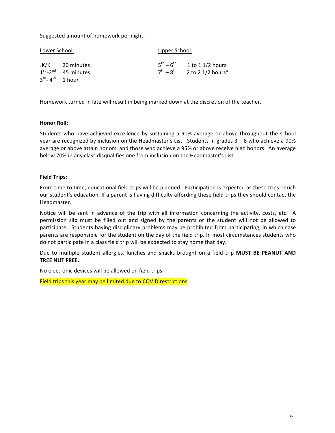Suggested amount of homework per night:

| Lower School: |                                                      | Upper School: |                                                                                         |
|---------------|------------------------------------------------------|---------------|-----------------------------------------------------------------------------------------|
|               | JK/K 20 minutes<br>$1st$ -2 <sup>nd</sup> 45 minutes |               | $5^{\text{th}} - 6^{\text{th}}$ 1 to 1 1/2 hours<br>$7^{th} - 8^{th}$ 2 to 2 1/2 hours* |
|               | $3^{\text{rd}}$ -4 <sup>th</sup> 1 hour              |               |                                                                                         |

Homework turned in late will result in being marked down at the discretion of the teacher.

#### **Honor Roll:**

Students who have achieved excellence by sustaining a 90% average or above throughout the school year are recognized by inclusion on the Headmaster's List. Students in grades  $3 - 8$  who achieve a 90% average or above attain honors, and those who achieve a 95% or above receive high honors. An average below 70% in any class disqualifies one from inclusion on the Headmaster's List.

### **Field Trips:**

From time to time, educational field trips will be planned. Participation is expected as these trips enrich our student's education. If a parent is having difficulty affording these field trips they should contact the Headmaster.

Notice will be sent in advance of the trip with all information concerning the activity, costs, etc. A permission slip must be filled out and signed by the parents or the student will not be allowed to participate. Students having disciplinary problems may be prohibited from participating, in which case parents are responsible for the student on the day of the field trip. In most circumstances students who do not participate in a class field trip will be expected to stay home that day.

Due to multiple student allergies, lunches and snacks brought on a field trip **MUST BE PEANUT AND TREE NUT FREE.** 

No electronic devices will be allowed on field trips.

Field trips this year may be limited due to COVID restrictions.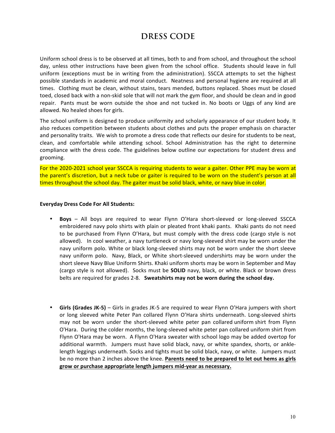### **DRESS CODE**

Uniform school dress is to be observed at all times, both to and from school, and throughout the school day, unless other instructions have been given from the school office. Students should leave in full uniform (exceptions must be in writing from the administration). SSCCA attempts to set the highest possible standards in academic and moral conduct. Neatness and personal hygiene are required at all times. Clothing must be clean, without stains, tears mended, buttons replaced. Shoes must be closed toed, closed back with a non-skid sole that will not mark the gym floor, and should be clean and in good repair. Pants must be worn outside the shoe and not tucked in. No boots or Uggs of any kind are allowed. No healed shoes for girls.

The school uniform is designed to produce uniformity and scholarly appearance of our student body. It also reduces competition between students about clothes and puts the proper emphasis on character and personality traits. We wish to promote a dress code that reflects our desire for students to be neat, clean, and comfortable while attending school. School Administration has the right to determine compliance with the dress code. The guidelines below outline our expectations for student dress and grooming.

For the 2020-2021 school year SSCCA is requiring students to wear a gaiter. Other PPE may be worn at the parent's discretion, but a neck tube or gaiter is required to be worn on the student's person at all times throughout the school day. The gaiter must be solid black, white, or navy blue in color.

#### **Everyday Dress Code For All Students:**

- **Boys** All boys are required to wear Flynn O'Hara short-sleeved or long-sleeved SSCCA embroidered navy polo shirts with plain or pleated front khaki pants. Khaki pants do not need to be purchased from Flynn O'Hara, but must comply with the dress code (cargo style is not allowed). In cool weather, a navy turtleneck or navy long-sleeved shirt may be worn under the navy uniform polo. White or black long-sleeved shirts may not be worn under the short sleeve navy uniform polo. Navy, Black, or White short-sleeved undershirts may be worn under the short sleeve Navy Blue Uniform Shirts. Khaki uniform shorts may be worn in September and May (cargo style is not allowed). Socks must be **SOLID** navy, black, or white. Black or brown dress belts are required for grades 2-8. Sweatshirts may not be worn during the school day.
- Girls (Grades JK-5) Girls in grades JK-5 are required to wear Flynn O'Hara jumpers with short or long sleeved white Peter Pan collared Flynn O'Hara shirts underneath. Long-sleeved shirts may not be worn under the short-sleeved white peter pan collared uniform shirt from Flynn O'Hara. During the colder months, the long-sleeved white peter pan collared uniform shirt from Flynn O'Hara may be worn. A Flynn O'Hara sweater with school logo may be added overtop for additional warmth. Jumpers must have solid black, navy, or white spandex, shorts, or anklelength leggings underneath. Socks and tights must be solid black, navy, or white. Jumpers must be no more than 2 inches above the knee. Parents need to be prepared to let out hems as girls grow or purchase appropriate length jumpers mid-year as necessary.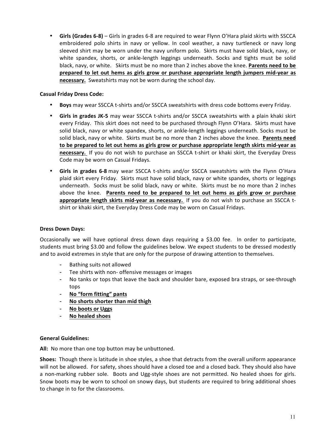• **Girls (Grades 6-8)** – Girls in grades 6-8 are required to wear Flynn O'Hara plaid skirts with SSCCA embroidered polo shirts in navy or yellow. In cool weather, a navy turtleneck or navy long sleeved shirt may be worn under the navy uniform polo. Skirts must have solid black, navy, or white spandex, shorts, or ankle-length leggings underneath. Socks and tights must be solid black, navy, or white. Skirts must be no more than 2 inches above the knee. Parents need to be prepared to let out hems as girls grow or purchase appropriate length jumpers mid-year as **necessary.** Sweatshirts may not be worn during the school day.

### **Casual Friday Dress Code:**

- **Boys** may wear SSCCA t-shirts and/or SSCCA sweatshirts with dress code bottoms every Friday.
- Girls in grades JK-5 may wear SSCCA t-shirts and/or SSCCA sweatshirts with a plain khaki skirt every Friday. This skirt does not need to be purchased through Flynn O'Hara. Skirts must have solid black, navy or white spandex, shorts, or ankle-length leggings underneath. Socks must be solid black, navy or white. Skirts must be no more than 2 inches above the knee. Parents need to be prepared to let out hems as girls grow or purchase appropriate length skirts mid-year as **necessary.** If you do not wish to purchase an SSCCA t-shirt or khaki skirt, the Everyday Dress Code may be worn on Casual Fridays.
- Girls in grades 6-8 may wear SSCCA t-shirts and/or SSCCA sweatshirts with the Flynn O'Hara plaid skirt every Friday. Skirts must have solid black, navy or white spandex, shorts or leggings underneath. Socks must be solid black, navy or white. Skirts must be no more than 2 inches above the knee. Parents need to be prepared to let out hems as girls grow or purchase **appropriate length skirts mid-year as necessary.** If you do not wish to purchase an SSCCA tshirt or khaki skirt, the Everyday Dress Code may be worn on Casual Fridays.

### **Dress Down Days:**

Occasionally we will have optional dress down days requiring a \$3.00 fee. In order to participate, students must bring \$3.00 and follow the guidelines below. We expect students to be dressed modestly and to avoid extremes in style that are only for the purpose of drawing attention to themselves.

- Bathing suits not allowed
- Tee shirts with non- offensive messages or images
- No tanks or tops that leave the back and shoulder bare, exposed bra straps, or see-through tops
- **No "form fitting" pants**
- **No shorts shorter than mid thigh**
- **No boots or Uggs**
- **No healed shoes**

### **General Guidelines:**

All: No more than one top button may be unbuttoned.

**Shoes:** Though there is latitude in shoe styles, a shoe that detracts from the overall uniform appearance will not be allowed. For safety, shoes should have a closed toe and a closed back. They should also have a non-marking rubber sole. Boots and Ugg-style shoes are not permitted. No healed shoes for girls. Snow boots may be worn to school on snowy days, but students are required to bring additional shoes to change in to for the classrooms.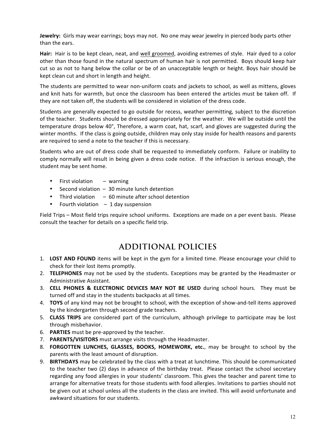**Jewelry:** Girls may wear earrings; boys may not. No one may wear jewelry in pierced body parts other than the ears.

Hair: Hair is to be kept clean, neat, and well groomed, avoiding extremes of style. Hair dyed to a color other than those found in the natural spectrum of human hair is not permitted. Boys should keep hair cut so as not to hang below the collar or be of an unacceptable length or height. Boys hair should be kept clean cut and short in length and height.

The students are permitted to wear non-uniform coats and jackets to school, as well as mittens, gloves and knit hats for warmth, but once the classroom has been entered the articles must be taken off. If they are not taken off, the students will be considered in violation of the dress code.

Students are generally expected to go outside for recess, weather permitting, subject to the discretion of the teacher. Students should be dressed appropriately for the weather. We will be outside until the temperature drops below 40°, Therefore, a warm coat, hat, scarf, and gloves are suggested during the winter months. If the class is going outside, children may only stay inside for health reasons and parents are required to send a note to the teacher if this is necessary.

Students who are out of dress code shall be requested to immediately conform. Failure or inability to comply normally will result in being given a dress code notice. If the infraction is serious enough, the student may be sent home.

- First violation  $-$  warning
- Second violation  $-30$  minute lunch detention
- Third violation  $-60$  minute after school detention
- Fourth violation  $-1$  day suspension

Field Trips – Most field trips require school uniforms. Exceptions are made on a per event basis. Please consult the teacher for details on a specific field trip.

### **ADDITIONAL POLICIES**

- 1. LOST AND FOUND items will be kept in the gym for a limited time. Please encourage your child to check for their lost items promptly.
- 2. **TELEPHONES** may not be used by the students. Exceptions may be granted by the Headmaster or Administrative Assistant.
- 3. **CELL PHONES & ELECTRONIC DEVICES MAY NOT BE USED** during school hours. They must be turned off and stay in the students backpacks at all times.
- 4. **TOYS** of any kind may not be brought to school, with the exception of show-and-tell items approved by the kindergarten through second grade teachers.
- 5. **CLASS TRIPS** are considered part of the curriculum, although privilege to participate may be lost through misbehavior.
- 6. **PARTIES** must be pre-approved by the teacher.
- 7. **PARENTS/VISITORS** must arrange visits through the Headmaster.
- 8. **FORGOTTEN LUNCHES, GLASSES, BOOKS, HOMEWORK, etc.**, may be brought to school by the parents with the least amount of disruption.
- 9. **BIRTHDAYS** may be celebrated by the class with a treat at lunchtime. This should be communicated to the teacher two (2) days in advance of the birthday treat. Please contact the school secretary regarding any food allergies in your students' classroom. This gives the teacher and parent time to arrange for alternative treats for those students with food allergies. Invitations to parties should not be given out at school unless all the students in the class are invited. This will avoid unfortunate and awkward situations for our students.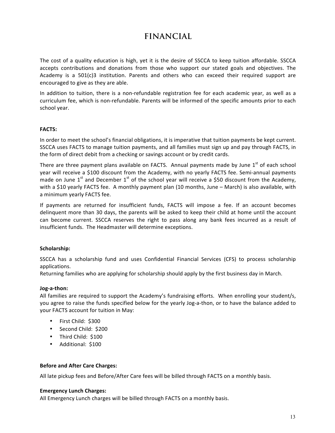### **FINANCIAL**

The cost of a quality education is high, yet it is the desire of SSCCA to keep tuition affordable. SSCCA accepts contributions and donations from those who support our stated goals and objectives. The Academy is a  $501(c)3$  institution. Parents and others who can exceed their required support are encouraged to give as they are able.

In addition to tuition, there is a non-refundable registration fee for each academic year, as well as a curriculum fee, which is non-refundable. Parents will be informed of the specific amounts prior to each school year.

### **FACTS:**

In order to meet the school's financial obligations, it is imperative that tuition payments be kept current. SSCCA uses FACTS to manage tuition payments, and all families must sign up and pay through FACTS, in the form of direct debit from a checking or savings account or by credit cards.

There are three payment plans available on FACTS. Annual payments made by June  $1<sup>st</sup>$  of each school year will receive a \$100 discount from the Academy, with no yearly FACTS fee. Semi-annual payments made on June  $1<sup>st</sup>$  and December  $1<sup>st</sup>$  of the school year will receive a \$50 discount from the Academy, with a \$10 yearly FACTS fee. A monthly payment plan (10 months, June – March) is also available, with a minimum yearly FACTS fee.

If payments are returned for insufficient funds, FACTS will impose a fee. If an account becomes delinquent more than 30 days, the parents will be asked to keep their child at home until the account can become current. SSCCA reserves the right to pass along any bank fees incurred as a result of insufficient funds. The Headmaster will determine exceptions.

### **Scholarship:**

SSCCA has a scholarship fund and uses Confidential Financial Services (CFS) to process scholarship applications.

Returning families who are applying for scholarship should apply by the first business day in March.

### **Jog-a-thon:**

All families are required to support the Academy's fundraising efforts. When enrolling your student/s, you agree to raise the funds specified below for the yearly Jog-a-thon, or to have the balance added to your FACTS account for tuition in May:

- First Child: \$300
- Second Child: \$200
- Third Child: \$100
- Additional: \$100

### **Before and After Care Charges:**

All late pickup fees and Before/After Care fees will be billed through FACTS on a monthly basis.

### **Emergency Lunch Charges:**

All Emergency Lunch charges will be billed through FACTS on a monthly basis.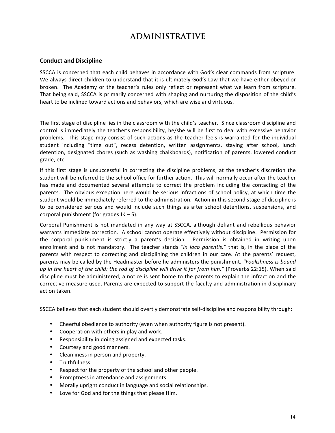### **ADMINISTRATIVE**

### **Conduct and Discipline**

SSCCA is concerned that each child behaves in accordance with God's clear commands from scripture. We always direct children to understand that it is ultimately God's Law that we have either obeyed or broken. The Academy or the teacher's rules only reflect or represent what we learn from scripture. That being said, SSCCA is primarily concerned with shaping and nurturing the disposition of the child's heart to be inclined toward actions and behaviors, which are wise and virtuous.

The first stage of discipline lies in the classroom with the child's teacher. Since classroom discipline and control is immediately the teacher's responsibility, he/she will be first to deal with excessive behavior problems. This stage may consist of such actions as the teacher feels is warranted for the individual student including "time out", recess detention, written assignments, staying after school, lunch detention, designated chores (such as washing chalkboards), notification of parents, lowered conduct grade, etc.

If this first stage is unsuccessful in correcting the discipline problems, at the teacher's discretion the student will be referred to the school office for further action. This will normally occur after the teacher has made and documented several attempts to correct the problem including the contacting of the parents. The obvious exception here would be serious infractions of school policy, at which time the student would be immediately referred to the administration. Action in this second stage of discipline is to be considered serious and would include such things as after school detentions, suspensions, and corporal punishment (for grades  $JK - 5$ ).

Corporal Punishment is not mandated in any way at SSCCA, although defiant and rebellious behavior warrants immediate correction. A school cannot operate effectively without discipline. Permission for the corporal punishment is strictly a parent's decision. Permission is obtained in writing upon enrollment and is not mandatory. The teacher stands "in loco parentis," that is, in the place of the parents with respect to correcting and disciplining the children in our care. At the parents' request, parents may be called by the Headmaster before he administers the punishment. "Foolishness is bound *up* in the heart of the child; the rod of discipline will drive it far from him." (Proverbs 22:15). When said discipline must be administered, a notice is sent home to the parents to explain the infraction and the corrective measure used. Parents are expected to support the faculty and administration in disciplinary action taken.

SSCCA believes that each student should overtly demonstrate self-discipline and responsibility through:

- Cheerful obedience to authority (even when authority figure is not present).
- Cooperation with others in play and work.
- Responsibility in doing assigned and expected tasks.
- Courtesy and good manners.
- Cleanliness in person and property.
- Truthfulness.
- Respect for the property of the school and other people.
- Promptness in attendance and assignments.
- Morally upright conduct in language and social relationships.
- Love for God and for the things that please Him.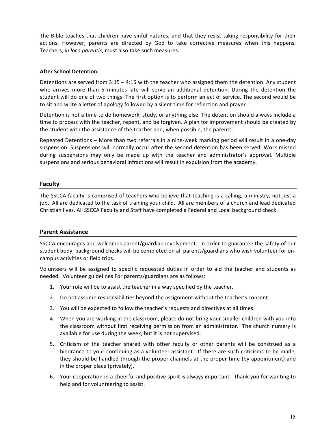The Bible teaches that children have sinful natures, and that they resist taking responsibility for their actions. However, parents are directed by God to take corrective measures when this happens. Teachers, *in loco parentis*, must also take such measures.

### **After School Detention:**

Detentions are served from  $3:15 - 4:15$  with the teacher who assigned them the detention. Any student who arrives more than 5 minutes late will serve an additional detention. During the detention the student will do one of two things. The first option is to perform an act of service. The second would be to sit and write a letter of apology followed by a silent time for reflection and prayer.

Detention is not a time to do homework, study, or anything else. The detention should always include a time to process with the teacher, repent, and be forgiven. A plan for improvement should be created by the student with the assistance of the teacher and, when possible, the parents.

Repeated Detentions – More than two referrals in a nine-week marking period will result in a one-day suspension. Suspensions will normally occur after the second detention has been served. Work missed during suspensions may only be made up with the teacher and administrator's approval. Multiple suspensions and serious behavioral infractions will result in expulsion from the academy.

### **Faculty**

The SSCCA faculty is comprised of teachers who believe that teaching is a calling, a ministry, not just a job. All are dedicated to the task of training your child. All are members of a church and lead dedicated Christian lives. All SSCCA Faculty and Staff have completed a Federal and Local background check.

### **Parent Assistance**

SSCCA encourages and welcomes parent/guardian involvement. In order to guarantee the safety of our student body, background checks will be completed on all parents/guardians who wish volunteer for oncampus activities or field trips.

Volunteers will be assigned to specific requested duties in order to aid the teacher and students as needed. Volunteer guidelines For parents/guardians are as follows:

- 1. Your role will be to assist the teacher in a way specified by the teacher.
- 2. Do not assume responsibilities beyond the assignment without the teacher's consent.
- 3. You will be expected to follow the teacher's requests and directives at all times.
- 4. When you are working in the classroom, please do not bring your smaller children with you into the classroom without first receiving permission from an administrator. The church nursery is available for use during the week, but it is not supervised.
- 5. Criticism of the teacher shared with other faculty or other parents will be construed as a hindrance to your continuing as a volunteer assistant. If there are such criticisms to be made, they should be handled through the proper channels at the proper time (by appointment) and in the proper place (privately).
- 6. Your cooperation in a cheerful and positive spirit is always important. Thank you for wanting to help and for volunteering to assist.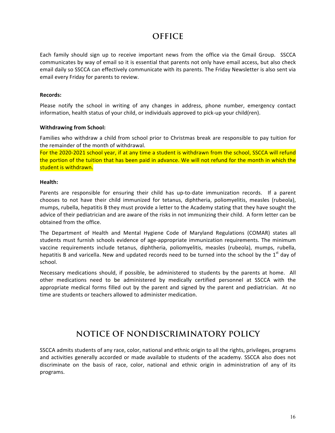### **OFFICE**

Each family should sign up to receive important news from the office via the Gmail Group. SSCCA communicates by way of email so it is essential that parents not only have email access, but also check email daily so SSCCA can effectively communicate with its parents. The Friday Newsletter is also sent via email every Friday for parents to review.

### **Records:**

Please notify the school in writing of any changes in address, phone number, emergency contact information, health status of your child, or individuals approved to pick-up your child(ren).

### **Withdrawing from School:**

Families who withdraw a child from school prior to Christmas break are responsible to pay tuition for the remainder of the month of withdrawal.

For the 2020-2021 school year, if at any time a student is withdrawn from the school, SSCCA will refund the portion of the tuition that has been paid in advance. We will not refund for the month in which the student is withdrawn.

### **Health:**

Parents are responsible for ensuring their child has up-to-date immunization records. If a parent chooses to not have their child immunized for tetanus, diphtheria, poliomyelitis, measles (rubeola), mumps, rubella, hepatitis B they must provide a letter to the Academy stating that they have sought the advice of their pediatrician and are aware of the risks in not immunizing their child. A form letter can be obtained from the office.

The Department of Health and Mental Hygiene Code of Maryland Regulations (COMAR) states all students must furnish schools evidence of age-appropriate immunization requirements. The minimum vaccine requirements include tetanus, diphtheria, poliomyelitis, measles (rubeola), mumps, rubella, hepatitis B and varicella. New and updated records need to be turned into the school by the  $1<sup>st</sup>$  day of school.

Necessary medications should, if possible, be administered to students by the parents at home. All other medications need to be administered by medically certified personnel at SSCCA with the appropriate medical forms filled out by the parent and signed by the parent and pediatrician. At no time are students or teachers allowed to administer medication.

### **NOTICE OF NONDISCRIMINATORY POLICY**

SSCCA admits students of any race, color, national and ethnic origin to all the rights, privileges, programs and activities generally accorded or made available to students of the academy. SSCCA also does not discriminate on the basis of race, color, national and ethnic origin in administration of any of its programs.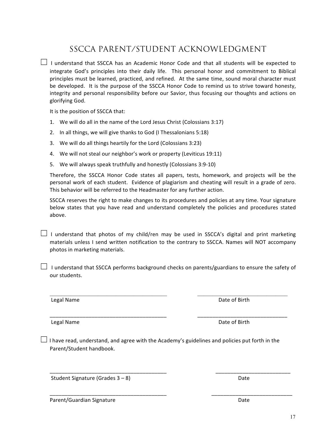17

 $\Box$  I understand that SSCCA has an Academic Honor Code and that all students will be expected to integrate God's principles into their daily life. This personal honor and commitment to Biblical principles must be learned, practiced, and refined. At the same time, sound moral character must be developed. It is the purpose of the SSCCA Honor Code to remind us to strive toward honesty, integrity and personal responsibility before our Savior, thus focusing our thoughts and actions on glorifying God.

SSCCA PARENT/STUDENT ACKNOWLEDGMENT

It is the position of SSCCA that:

- 1. We will do all in the name of the Lord Jesus Christ (Colossians 3:17)
- 2. In all things, we will give thanks to God (I Thessalonians 5:18)
- 3. We will do all things heartily for the Lord (Colossians 3:23)
- 4. We will not steal our neighbor's work or property (Leviticus 19:11)
- 5. We will always speak truthfully and honestly (Colossians 3:9-10)

Therefore, the SSCCA Honor Code states all papers, tests, homework, and projects will be the personal work of each student. Evidence of plagiarism and cheating will result in a grade of zero. This behavior will be referred to the Headmaster for any further action.

SSCCA reserves the right to make changes to its procedures and policies at any time. Your signature below states that you have read and understand completely the policies and procedures stated above.

 $\Box$  I understand that photos of my child/ren may be used in SSCCA's digital and print marketing materials unless I send written notification to the contrary to SSCCA. Names will NOT accompany photos in marketing materials.

 $\Box$  I understand that SSCCA performs background checks on parents/guardians to ensure the safety of our students.

 $\mathcal{L}_\text{max} = \mathcal{L}_\text{max} = \mathcal{L}_\text{max} = \mathcal{L}_\text{max} = \mathcal{L}_\text{max} = \mathcal{L}_\text{max} = \mathcal{L}_\text{max} = \mathcal{L}_\text{max} = \mathcal{L}_\text{max} = \mathcal{L}_\text{max} = \mathcal{L}_\text{max} = \mathcal{L}_\text{max} = \mathcal{L}_\text{max} = \mathcal{L}_\text{max} = \mathcal{L}_\text{max} = \mathcal{L}_\text{max} = \mathcal{L}_\text{max} = \mathcal{L}_\text{max} = \mathcal{$ 

\_\_\_\_\_\_\_\_\_\_\_\_\_\_\_\_\_\_\_\_\_\_\_\_\_\_\_\_\_\_\_\_\_\_\_\_\_\_\_ \_\_\_\_\_\_\_\_\_\_\_\_\_\_\_\_\_\_\_\_\_\_\_\_\_\_\_\_\_\_

Legal Name **Date** of Birth

Legal Name Date of Birth

 $\Box$  I have read, understand, and agree with the Academy's guidelines and policies put forth in the Parent/Student handbook.

\_\_\_\_\_\_\_\_\_\_\_\_\_\_\_\_\_\_\_\_\_\_\_\_\_\_\_\_\_\_\_\_\_\_\_\_\_\_\_ \_\_\_\_\_\_\_\_\_\_\_\_\_\_\_\_\_\_\_\_\_\_\_\_\_

\_\_\_\_\_\_\_\_\_\_\_\_\_\_\_\_\_\_\_\_\_\_\_\_\_\_\_\_\_\_\_\_\_\_\_\_\_\_\_ \_\_\_\_\_\_\_\_\_\_\_\_\_\_\_\_\_\_\_\_\_\_\_\_\_\_\_

Student Signature  $(Grades 3 - 8)$ 

Parent/Guardian Signature **Date** Date Date Date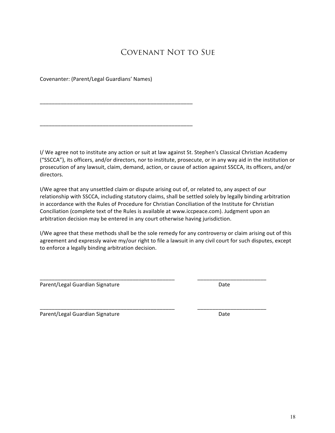### Covenant Not to Sue

Covenanter: (Parent/Legal Guardians' Names)

\_\_\_\_\_\_\_\_\_\_\_\_\_\_\_\_\_\_\_\_\_\_\_\_\_\_\_\_\_\_\_\_\_\_\_\_\_\_\_\_\_\_\_\_\_\_\_\_\_\_\_

\_\_\_\_\_\_\_\_\_\_\_\_\_\_\_\_\_\_\_\_\_\_\_\_\_\_\_\_\_\_\_\_\_\_\_\_\_\_\_\_\_\_\_\_\_\_\_\_\_\_\_

I/ We agree not to institute any action or suit at law against St. Stephen's Classical Christian Academy ("SSCCA"), its officers, and/or directors, nor to institute, prosecute, or in any way aid in the institution or prosecution of any lawsuit, claim, demand, action, or cause of action against SSCCA, its officers, and/or directors.

I/We agree that any unsettled claim or dispute arising out of, or related to, any aspect of our relationship with SSCCA, including statutory claims, shall be settled solely by legally binding arbitration in accordance with the Rules of Procedure for Christian Conciliation of the Institute for Christian Conciliation (complete text of the Rules is available at www.iccpeace.com). Judgment upon an arbitration decision may be entered in any court otherwise having jurisdiction.

I/We agree that these methods shall be the sole remedy for any controversy or claim arising out of this agreement and expressly waive my/our right to file a lawsuit in any civil court for such disputes, except to enforce a legally binding arbitration decision.

\_\_\_\_\_\_\_\_\_\_\_\_\_\_\_\_\_\_\_\_\_\_\_\_\_\_\_\_\_\_\_\_\_\_\_\_\_\_\_\_\_\_\_\_\_ \_\_\_\_\_\_\_\_\_\_\_\_\_\_\_\_\_\_\_\_\_\_\_

\_\_\_\_\_\_\_\_\_\_\_\_\_\_\_\_\_\_\_\_\_\_\_\_\_\_\_\_\_\_\_\_\_\_\_\_\_\_\_\_\_\_\_\_\_ \_\_\_\_\_\_\_\_\_\_\_\_\_\_\_\_\_\_\_\_\_\_\_

Parent/Legal Guardian Signature Date

Parent/Legal Guardian Signature density of the Date Date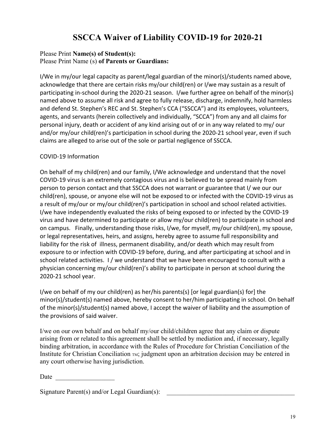### **SSCCA Waiver of Liability COVID-19 for 2020-21**

### Please Print **Name(s) of Student(s):** Please Print Name (s) **of Parents or Guardians:**

I/We in my/our legal capacity as parent/legal guardian of the minor(s)/students named above, acknowledge that there are certain risks my/our child(ren) or I/we may sustain as a result of participating in-school during the 2020-21 season. I/we further agree on behalf of the minor(s) named above to assume all risk and agree to fully release, discharge, indemnify, hold harmless and defend St. Stephen's REC and St. Stephen's CCA ("SSCCA") and its employees, volunteers, agents, and servants (herein collectively and individually, "SCCA") from any and all claims for personal injury, death or accident of any kind arising out of or in any way related to my/ our and/or my/our child(ren)'s participation in school during the 2020-21 school year, even if such claims are alleged to arise out of the sole or partial negligence of SSCCA.

### COVID-19 Information

On behalf of my child(ren) and our family, I/We acknowledge and understand that the novel COVID-19 virus is an extremely contagious virus and is believed to be spread mainly from person to person contact and that SSCCA does not warrant or guarantee that I/ we our our child(ren), spouse, or anyone else will not be exposed to or infected with the COVID-19 virus as a result of my/our or my/our child(ren)'s participation in school and school related activities. I/we have independently evaluated the risks of being exposed to or infected by the COVID-19 virus and have determined to participate or allow my/our child(ren) to participate in school and on campus. Finally, understanding those risks, I/we, for myself, my/our child(ren), my spouse, or legal representatives, heirs, and assigns, hereby agree to assume full responsibility and liability for the risk of illness, permanent disability, and/or death which may result from exposure to or infection with COVID-19 before, during, and after participating at school and in school related activities. I / we understand that we have been encouraged to consult with a physician concerning my/our child(ren)'s ability to participate in person at school during the 2020-21 school year.

I/we on behalf of my our child(ren) as her/his parents(s) [or legal guardian(s) for] the minor(s)/student(s) named above, hereby consent to her/him participating in school. On behalf of the minor(s)/student(s) named above, I accept the waiver of liability and the assumption of the provisions of said waiver.

I/we on our own behalf and on behalf my/our child/children agree that any claim or dispute arising from or related to this agreement shall be settled by mediation and, if necessary, legally binding arbitration, in accordance with the Rules of Procedure for Christian Conciliation of the Institute for Christian Conciliation  $TM$ ; judgment upon an arbitration decision may be entered in any court otherwise having jurisdiction.

Date  $\Box$ 

Signature Parent(s) and/or Legal Guardian(s):